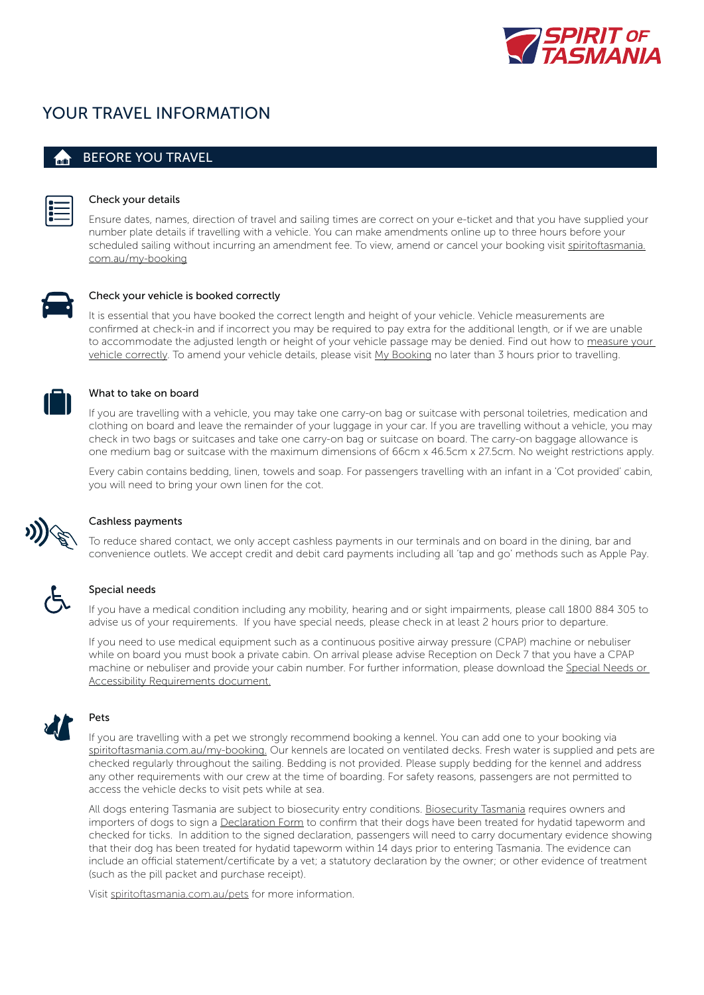

# YOUR TRAVEL INFORMATION

### BEFORE YOU TRAVEL



### Check your details

Ensure dates, names, direction of travel and sailing times are correct on your e-ticket and that you have supplied your number plate details if travelling with a vehicle. You can make amendments online up to three hours before your scheduled sailing without incurring an amendment fee. To view, amend or cancel your booking visit [spiritoftasmania.](https://www.spiritoftasmania.com.au/my-booking) [com.au/my-booking](https://www.spiritoftasmania.com.au/my-booking)



#### Check your vehicle is booked correctly

It is essential that you have booked the correct length and height of your vehicle. Vehicle measurements are confirmed at check-in and if incorrect you may be required to pay extra for the additional length, or if we are unable to accommodate the adjusted length or height of your vehicle passage may be denied. Find out how to [measure your](https://www.spiritoftasmania.com.au/terms-and-conditions/how-to-measure-your-vehicle)  [vehicle correctly](https://www.spiritoftasmania.com.au/terms-and-conditions/how-to-measure-your-vehicle). To amend your vehicle details, please visit [My Booking](https://www.spiritoftasmania.com.au/my-booking) no later than 3 hours prior to travelling.



### What to take on board

If you are travelling with a vehicle, you may take one carry-on bag or suitcase with personal toiletries, medication and clothing on board and leave the remainder of your luggage in your car. If you are travelling without a vehicle, you may check in two bags or suitcases and take one carry-on bag or suitcase on board. The carry-on baggage allowance is one medium bag or suitcase with the maximum dimensions of 66cm x 46.5cm x 27.5cm. No weight restrictions apply.

Every cabin contains bedding, linen, towels and soap. For passengers travelling with an infant in a 'Cot provided' cabin, you will need to bring your own linen for the cot.



### Cashless payments

To reduce shared contact, we only accept cashless payments in our terminals and on board in the dining, bar and convenience outlets. We accept credit and debit card payments including all 'tap and go' methods such as Apple Pay.



#### Special needs

If you have a medical condition including any mobility, hearing and or sight impairments, please call 1800 884 305 to advise us of your requirements. If you have special needs, please check in at least 2 hours prior to departure.

If you need to use medical equipment such as a continuous positive airway pressure (CPAP) machine or nebuliser while on board you must book a private cabin. On arrival please advise Reception on Deck 7 that you have a CPAP machine or nebuliser and provide your cabin number. For further information, please download the [Special Needs or](https://www.spiritoftasmania.com.au/media/799965/special-needs-and-accessibility_august-2020.pdf)  [Accessibility Requirements document.](https://www.spiritoftasmania.com.au/media/799965/special-needs-and-accessibility_august-2020.pdf)



## Pets

If you are travelling with a pet we strongly recommend booking a kennel. You can add one to your booking via [spiritoftasmania.com.au/my-booking.](https://www.spiritoftasmania.com.au/my-booking) Our kennels are located on ventilated decks. Fresh water is supplied and pets are checked regularly throughout the sailing. Bedding is not provided. Please supply bedding for the kennel and address any other requirements with our crew at the time of boarding. For safety reasons, passengers are not permitted to access the vehicle decks to visit pets while at sea.

All dogs entering Tasmania are subject to biosecurity entry conditions. [Biosecurity Tasmania](https://dpipwe.tas.gov.au/biosecurity-tasmania/biosecurity/importing-animals/animals-that-can-be-imported-with-entry-requirements/dogs) requires owners and importers of dogs to sign a [Declaration Form](https://dpipwe.tas.gov.au/Documents/Biosecurity%20Tasmania%20Dog%20Import%20Declaration.pdf) to confirm that their dogs have been treated for hydatid tapeworm and checked for ticks. In addition to the signed declaration, passengers will need to carry documentary evidence showing that their dog has been treated for hydatid tapeworm within 14 days prior to entering Tasmania. The evidence can include an official statement/certificate by a vet; a statutory declaration by the owner; or other evidence of treatment (such as the pill packet and purchase receipt).

Visit [spiritoftasmania.com.au/pets](www.spiritoftasmania.com.au/pets) for more information.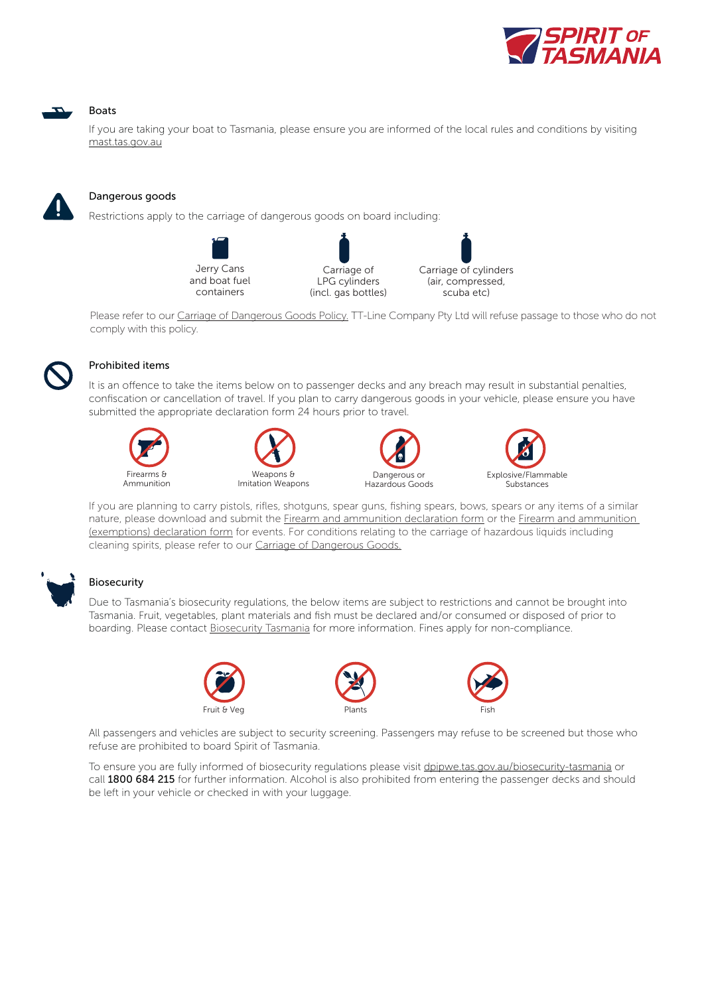

### **Boats**

If you are taking your boat to Tasmania, please ensure you are informed of the local rules and conditions by visiting <mast.tas.gov.au>

### Dangerous goods

Restrictions apply to the carriage of dangerous goods on board including:





Please refer to our [Carriage of Dangerous Goods Policy.](https://www.spiritoftasmania.com.au/terms-and-conditions/carriage-of-dangerous-goods) TT-Line Company Pty Ltd will refuse passage to those who do not comply with this policy.



#### Prohibited items

It is an offence to take the items below on to passenger decks and any breach may result in substantial penalties, confiscation or cancellation of travel. If you plan to carry dangerous goods in your vehicle, please ensure you have submitted the appropriate declaration form 24 hours prior to travel.









If you are planning to carry pistols, rifles, shotguns, spear guns, fishing spears, bows, spears or any items of a similar nature, please download and submit the [Firearm and ammunition declaration form](https://www.spiritoftasmania.com.au/media/717203/carriage-of-firearms-and-ammunition-conditions-declaration-form-v9-14-march-2018.pdf) or the Firearm and ammunition [\(exemptions\) declaration form](https://www.spiritoftasmania.com.au/media/717204/exemption-carriage-of-firearms-and-ammunition-conditions-declaration-form-v9-14-march-2018.pdf) for events. For conditions relating to the carriage of hazardous liquids including cleaning spirits, please refer to our [Carriage of Dangerous Goods](https://www.spiritoftasmania.com.au/terms-and-conditions/carriage-of-dangerous-goods).



#### Biosecurity

Due to Tasmania's biosecurity regulations, the below items are subject to restrictions and cannot be brought into Tasmania. Fruit, vegetables, plant materials and fish must be declared and/or consumed or disposed of prior to boarding. Please contact [Biosecurity Tasmania](http://dpipwe.tas.gov.au/biosecurity-tasmania) for more information. Fines apply for non-compliance.







All passengers and vehicles are subject to security screening. Passengers may refuse to be screened but those who refuse are prohibited to board Spirit of Tasmania.

To ensure you are fully informed of biosecurity regulations please visit [dpipwe.tas.gov.au/biosecurity-tasmania](http://dpipwe.tas.gov.au/biosecurity-tasmania) or call 1800 684 215 for further information. Alcohol is also prohibited from entering the passenger decks and should be left in your vehicle or checked in with your luggage.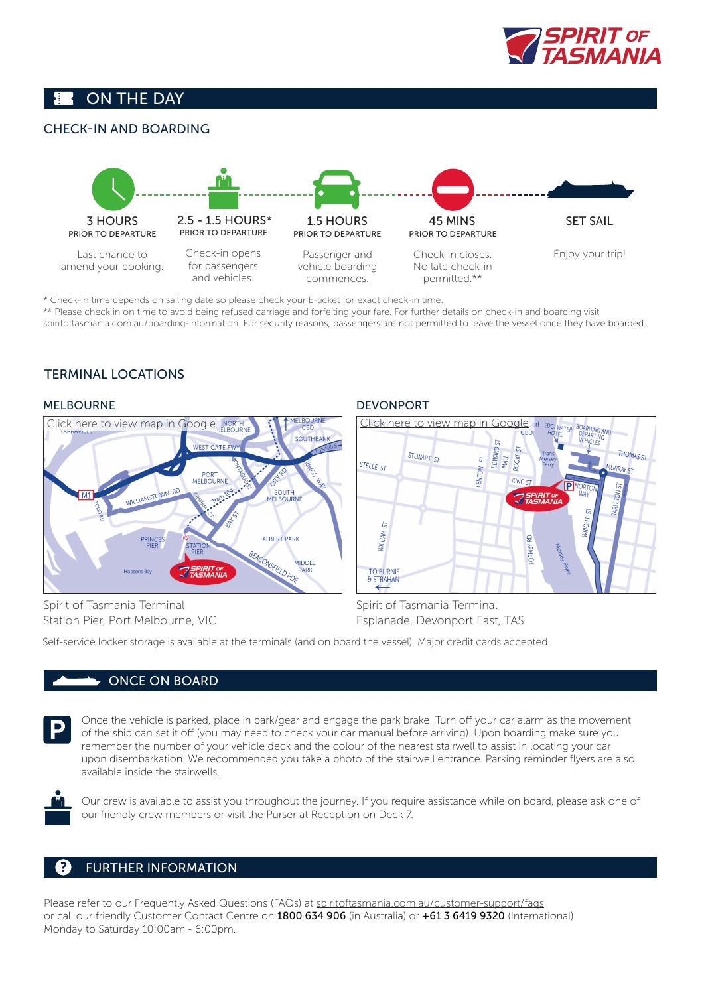

## ON THE DAY

## CHECK-IN AND BOARDING



\* Check-in time depends on sailing date so please check your E-ticket for exact check-in time.

\*\* Please check in on time to avoid being refused carriage and forfeiting your fare. For further details on check-in and boarding visit s[piritoftasmania.com.au/boarding-information.](https://www.spiritoftasmania.com.au/sailing-fares/boarding-information) For security reasons, passengers are not permitted to leave the vessel once they have boarded.

## TERMINAL LOCATIONS

### MELBOURNE



### DEVONPORT



Spirit of Tasmania Terminal Station Pier, Port Melbourne, VIC Spirit of Tasmania Terminal Esplanade, Devonport East, TAS

Self-service locker storage is available at the terminals (and on board the vessel). Major credit cards accepted.

### ONCE ON BOARD



Once the vehicle is parked, place in park/gear and engage the park brake. Turn off your car alarm as the movement of the ship can set it off (you may need to check your car manual before arriving). Upon boarding make sure you remember the number of your vehicle deck and the colour of the nearest stairwell to assist in locating your car upon disembarkation. We recommended you take a photo of the stairwell entrance. Parking reminder flyers are also available inside the stairwells.



Our crew is available to assist you throughout the journey. If you require assistance while on board, please ask one of our friendly crew members or visit the Purser at Reception on Deck 7.

## FURTHER INFORMATION

Please refer to our Frequently Asked Questions (FAQs) at [spiritoftasmania.com.au/customer-support/faqs](https://www.spiritoftasmania.com.au/customer-support/faqs) or call our friendly Customer Contact Centre on 1800 634 906 (in Australia) or +61 3 6419 9320 (International) Monday to Saturday 10:00am - 6:00pm.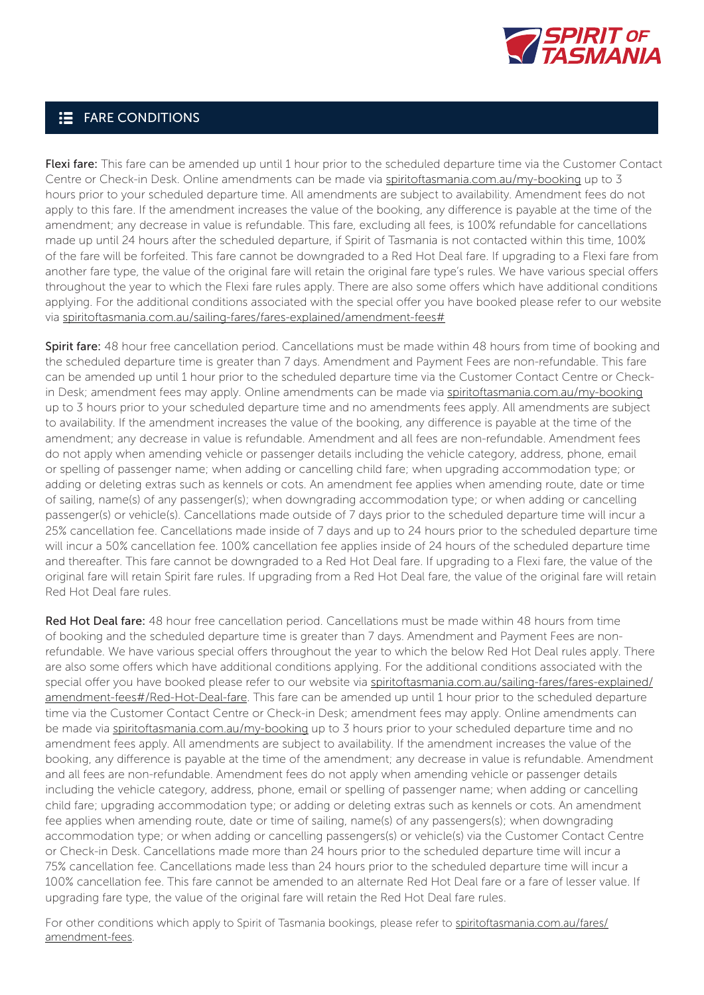

## **E** FARE CONDITIONS

Flexi fare: This fare can be amended up until 1 hour prior to the scheduled departure time via the Customer Contact Centre or Check-in Desk. Online amendments can be made via [spiritoftasmania.com.au/my-booking](https://www.spiritoftasmania.com.au/my-booking) up to 3 hours prior to your scheduled departure time. All amendments are subject to availability. Amendment fees do not apply to this fare. If the amendment increases the value of the booking, any difference is payable at the time of the amendment; any decrease in value is refundable. This fare, excluding all fees, is 100% refundable for cancellations made up until 24 hours after the scheduled departure, if Spirit of Tasmania is not contacted within this time, 100% of the fare will be forfeited. This fare cannot be downgraded to a Red Hot Deal fare. If upgrading to a Flexi fare from another fare type, the value of the original fare will retain the original fare type's rules. We have various special offers throughout the year to which the Flexi fare rules apply. There are also some offers which have additional conditions applying. For the additional conditions associated with the special offer you have booked please refer to our website via [spiritoftasmania.com.au/sailing-fares/fares-explained/amendment-fees#](https://www.spiritoftasmania.com.au/sailing-fares/fares-explained/amendment-fees#)

Spirit fare: 48 hour free cancellation period. Cancellations must be made within 48 hours from time of booking and the scheduled departure time is greater than 7 days. Amendment and Payment Fees are non-refundable. This fare can be amended up until 1 hour prior to the scheduled departure time via the Customer Contact Centre or Checkin Desk; amendment fees may apply. Online amendments can be made via [spiritoftasmania.com.au/my-booking](https://www.spiritoftasmania.com.au/my-booking) up to 3 hours prior to your scheduled departure time and no amendments fees apply. All amendments are subject to availability. If the amendment increases the value of the booking, any difference is payable at the time of the amendment; any decrease in value is refundable. Amendment and all fees are non-refundable. Amendment fees do not apply when amending vehicle or passenger details including the vehicle category, address, phone, email or spelling of passenger name; when adding or cancelling child fare; when upgrading accommodation type; or adding or deleting extras such as kennels or cots. An amendment fee applies when amending route, date or time of sailing, name(s) of any passenger(s); when downgrading accommodation type; or when adding or cancelling passenger(s) or vehicle(s). Cancellations made outside of 7 days prior to the scheduled departure time will incur a 25% cancellation fee. Cancellations made inside of 7 days and up to 24 hours prior to the scheduled departure time will incur a 50% cancellation fee. 100% cancellation fee applies inside of 24 hours of the scheduled departure time and thereafter. This fare cannot be downgraded to a Red Hot Deal fare. If upgrading to a Flexi fare, the value of the original fare will retain Spirit fare rules. If upgrading from a Red Hot Deal fare, the value of the original fare will retain Red Hot Deal fare rules.

Red Hot Deal fare: 48 hour free cancellation period. Cancellations must be made within 48 hours from time of booking and the scheduled departure time is greater than 7 days. Amendment and Payment Fees are nonrefundable. We have various special offers throughout the year to which the below Red Hot Deal rules apply. There are also some offers which have additional conditions applying. For the additional conditions associated with the special offer you have booked please refer to our website via [spiritoftasmania.com.au/sailing-fares/fares-explained/](https://www.spiritoftasmania.com.au/sailing-fares/fares-explained/amendment-fees#/Red-Hot-Deal-fare) [amendment-fees#/Red-Hot-Deal-fare](https://www.spiritoftasmania.com.au/sailing-fares/fares-explained/amendment-fees#/Red-Hot-Deal-fare). This fare can be amended up until 1 hour prior to the scheduled departure time via the Customer Contact Centre or Check-in Desk; amendment fees may apply. Online amendments can be made via [spiritoftasmania.com.au/my-booking](https://www.spiritoftasmania.com.au/my-booking) up to 3 hours prior to your scheduled departure time and no amendment fees apply. All amendments are subject to availability. If the amendment increases the value of the booking, any difference is payable at the time of the amendment; any decrease in value is refundable. Amendment and all fees are non-refundable. Amendment fees do not apply when amending vehicle or passenger details including the vehicle category, address, phone, email or spelling of passenger name; when adding or cancelling child fare; upgrading accommodation type; or adding or deleting extras such as kennels or cots. An amendment fee applies when amending route, date or time of sailing, name(s) of any passengers(s); when downgrading accommodation type; or when adding or cancelling passengers(s) or vehicle(s) via the Customer Contact Centre or Check-in Desk. Cancellations made more than 24 hours prior to the scheduled departure time will incur a 75% cancellation fee. Cancellations made less than 24 hours prior to the scheduled departure time will incur a 100% cancellation fee. This fare cannot be amended to an alternate Red Hot Deal fare or a fare of lesser value. If upgrading fare type, the value of the original fare will retain the Red Hot Deal fare rules.

For other conditions which apply to Spirit of Tasmania bookings, please refer to [spiritoftasmania.com.au/fares/](http://www.spiritoftasmania.com.au/fares/amendment-fees) [amendment-fees.](http://www.spiritoftasmania.com.au/fares/amendment-fees)